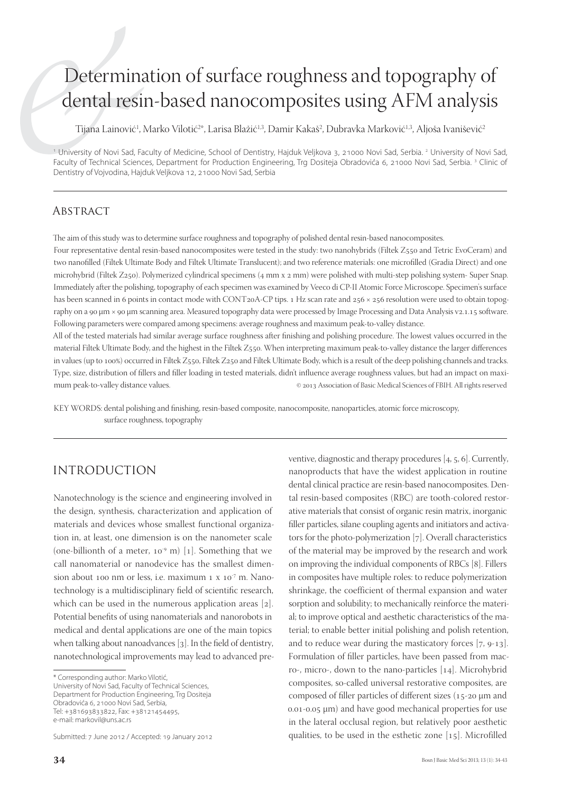# Determination of surface roughness and topography of dental resin-based nanocomposites using AFM analysis

Tijana Lainović<sup>1</sup>, Marko Vilotić<sup>2</sup>\*, Larisa Blažić<sup>1,3</sup>, Damir Kakaš<sup>2</sup>, Dubravka Marković<sup>1,3</sup>, Aljoša Ivanišević<sup>2</sup>

<sup>1</sup> University of Novi Sad, Faculty of Medicine, School of Dentistry, Hajduk Veljkova 3, 21000 Novi Sad, Serbia. <sup>2</sup> University of Novi Sad, Faculty of Technical Sciences, Department for Production Engineering, Trg Dositeja Obradovića 6, 21000 Novi Sad, Serbia. <sup>3</sup> Clinic of Dentistry of Vojvodina, Hajduk Veljkova 12, 21000 Novi Sad, Serbia

#### **ABSTRACT**

The aim of this study was to determine surface roughness and topography of polished dental resin-based nanocomposites.

Four representative dental resin-based nanocomposites were tested in the study: two nanohybrids (Filtek Z550 and Tetric EvoCeram) and two nanofilled (Filtek Ultimate Body and Filtek Ultimate Translucent); and two reference materials: one microfilled (Gradia Direct) and one microhybrid (Filtek Z250). Polymerized cylindrical specimens (4 mm x 2 mm) were polished with multi-step polishing system- Super Snap. Immediately after the polishing, topography of each specimen was examined by Veeco di CP-II Atomic Force Microscope. Specimen's surface has been scanned in 6 points in contact mode with CONT2oA-CP tips. 1 Hz scan rate and  $256 \times 256$  resolution were used to obtain topography on a 90 μm × 90 μm scanning area. Measured topography data were processed by Image Processing and Data Analysis v2.1.15 software. Following parameters were compared among specimens: average roughness and maximum peak-to-valley distance.

All of the tested materials had similar average surface roughness after finishing and polishing procedure. The lowest values occurred in the material Filtek Ultimate Body, and the highest in the Filtek Z550. When interpreting maximum peak-to-valley distance the larger differences in values (up to 100%) occurred in Filtek Z550, Filtek Z250 and Filtek Ultimate Body, which is a result of the deep polishing channels and tracks. Type, size, distribution of fillers and filler loading in tested materials, didn't influence average roughness values, but had an impact on maximum peak-to-valley distance values. <br>
© 2013 Association of Basic Medical Sciences of FBIH. All rights reserved

KEY WORDS: dental polishing and finishing, resin-based composite, nanocomposite, nanoparticles, atomic force microscopy, surface roughness, topography

# INTRODUCTION

Nanotechnology is the science and engineering involved in the design, synthesis, characterization and application of materials and devices whose smallest functional organization in, at least, one dimension is on the nanometer scale (one-billionth of a meter,  $10^{-9}$  m) [1]. Something that we call nanomaterial or nanodevice has the smallest dimension about 100 nm or less, i.e. maximum  $1 \times 10^{-7}$  m. Nanotechnology is a multidisciplinary field of scientific research, which can be used in the numerous application areas  $[2]$ . Potential benefits of using nanomaterials and nanorobots in medical and dental applications are one of the main topics when talking about nanoadvances  $[3]$ . In the field of dentistry, nanotechnological improvements may lead to advanced pre-

\* Corresponding author: Marko Vilotić, University of Novi Sad, Faculty of Technical Sciences, Department for Production Engineering, Trg Dositeja Obradovića 6, 21000 Novi Sad, Serbia, Tel: +381693833822, Fax: +38121454495, e-mail: markovil@uns.ac.rs

Submitted: 7 June 2012 / Accepted: 19 January 2012

ventive, diagnostic and therapy procedures  $[4, 5, 6]$ . Currently, nanoproducts that have the widest application in routine dental clinical practice are resin-based nanocomposites. Dental resin-based composites (RBC) are tooth-colored restorative materials that consist of organic resin matrix, inorganic filler particles, silane coupling agents and initiators and activators for the photo-polymerization  $[7]$ . Overall characteristics of the material may be improved by the research and work on improving the individual components of RBCs [8]. Fillers in composites have multiple roles: to reduce polymerization shrinkage, the coefficient of thermal expansion and water sorption and solubility; to mechanically reinforce the material; to improve optical and aesthetic characteristics of the material; to enable better initial polishing and polish retention, and to reduce wear during the masticatory forces  $[7, 9-13]$ . Formulation of filler particles, have been passed from macro-, micro-, down to the nano-particles  $[14]$ . Microhybrid composites, so-called universal restorative composites, are composed of filler particles of different sizes ( $15$ -20  $\mu$ m and  $0.01 - 0.05$   $\mu$ m) and have good mechanical properties for use in the lateral occlusal region, but relatively poor aesthetic qualities, to be used in the esthetic zone  $[15]$ . Microfilled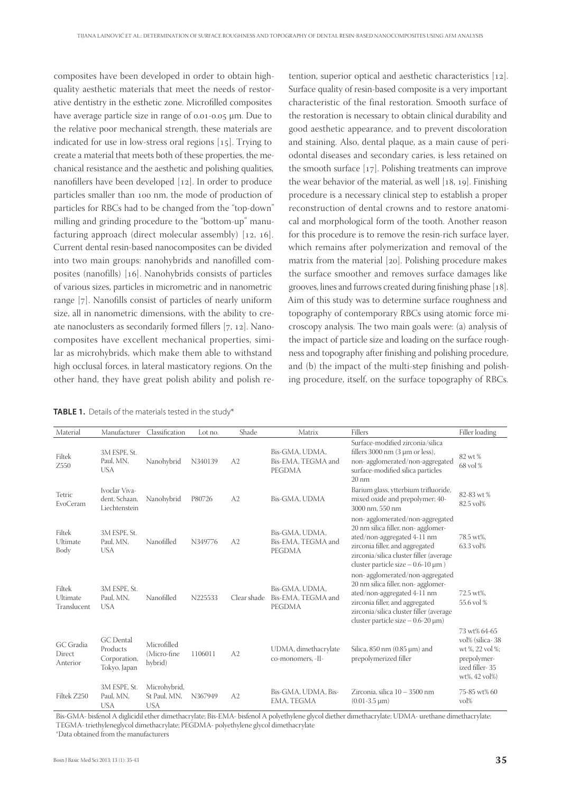composites have been developed in order to obtain highquality aesthetic materials that meet the needs of restorative dentistry in the esthetic zone. Microfilled composites have average particle size in range of  $0.01$ - $0.05$  µm. Due to the relative poor mechanical strength, these materials are indicated for use in low-stress oral regions [15]. Trying to create a material that meets both of these properties, the mechanical resistance and the aesthetic and polishing qualities, nanofillers have been developed [12]. In order to produce particles smaller than 100 nm, the mode of production of particles for RBCs had to be changed from the "top-down" milling and grinding procedure to the "bottom-up" manufacturing approach (direct molecular assembly)  $[12, 16]$ . Current dental resin-based nanocomposites can be divided into two main groups: nanohybrids and nanofilled composites (nanofills)  $[16]$ . Nanohybrids consists of particles of various sizes, particles in micrometric and in nanometric range [7]. Nanofills consist of particles of nearly uniform size, all in nanometric dimensions, with the ability to create nanoclusters as secondarily formed fillers  $[7, 12]$ . Nanocomposites have excellent mechanical properties, similar as microhybrids, which make them able to withstand high occlusal forces, in lateral masticatory regions. On the other hand, they have great polish ability and polish re-

tention, superior optical and aesthetic characteristics  $[12]$ . Surface quality of resin-based composite is a very important characteristic of the final restoration. Smooth surface of the restoration is necessary to obtain clinical durability and good aesthetic appearance, and to prevent discoloration and staining. Also, dental plaque, as a main cause of periodontal diseases and secondary caries, is less retained on the smooth surface  $[17]$ . Polishing treatments can improve the wear behavior of the material, as well  $[18, 19]$ . Finishing procedure is a necessary clinical step to establish a proper reconstruction of dental crowns and to restore anatomical and morphological form of the tooth. Another reason for this procedure is to remove the resin-rich surface layer, which remains after polymerization and removal of the matrix from the material  $[20]$ . Polishing procedure makes the surface smoother and removes surface damages like grooves, lines and furrows created during finishing phase  $[18]$ . Aim of this study was to determine surface roughness and topography of contemporary RBCs using atomic force microscopy analysis. The two main goals were: (a) analysis of the impact of particle size and loading on the surface roughness and topography after finishing and polishing procedure, and (b) the impact of the multi-step finishing and polishing procedure, itself, on the surface topography of RBCs.

**TABLE 1.** Details of the materials tested in the study\*

| Material                          | Manufacturer                                                 | Classification                             | Lot no. | Shade          | Matrix                                                | Fillers                                                                                                                                                                                                                        | Filler loading                                                                                       |
|-----------------------------------|--------------------------------------------------------------|--------------------------------------------|---------|----------------|-------------------------------------------------------|--------------------------------------------------------------------------------------------------------------------------------------------------------------------------------------------------------------------------------|------------------------------------------------------------------------------------------------------|
| Filtek<br>Z550                    | 3M ESPE, St.<br>Paul, MN,<br><b>USA</b>                      | Nanohybrid                                 | N340139 | A2             | Bis-GMA, UDMA,<br>Bis-EMA, TEGMA and<br><b>PEGDMA</b> | Surface-modified zirconia/silica<br>fillers 3000 nm $(3 \mu m)$ or less),<br>non-agglomerated/non-aggregated<br>surface-modified silica particles<br>$20 \text{ nm}$                                                           | 82 wt %<br>68 vol %                                                                                  |
| Tetric<br>EvoCeram                | Ivoclar Viva-<br>dent, Schaan,<br>Liechtenstein              | Nanohybrid                                 | P80726  | A2             | Bis-GMA, UDMA                                         | Barium glass, ytterbium trifluoride,<br>mixed oxide and prepolymer; 40-<br>3000 nm. 550 nm                                                                                                                                     | 82-83 wt %<br>82.5 vol%                                                                              |
| Filtek<br>Ultimate<br>Body        | 3M ESPE, St.<br>Paul, MN,<br><b>USA</b>                      | Nanofilled                                 | N349776 | A2             | Bis-GMA, UDMA,<br>Bis-EMA, TEGMA and<br><b>PEGDMA</b> | non-agglomerated/non-aggregated<br>20 nm silica filler, non- agglomer-<br>ated/non-aggregated 4-11 nm<br>zirconia filler, and aggregated<br>zirconia/silica cluster filler (average<br>cluster particle size $-0.6-10 \mu m$ ) | 78.5 wt%.<br>63.3 vol%                                                                               |
| Filtek<br>Ultimate<br>Translucent | 3M ESPE, St.<br>Paul, MN,<br><b>USA</b>                      | Nanofilled                                 | N225533 | Clear shade    | Bis-GMA, UDMA,<br>Bis-EMA, TEGMA and<br><b>PEGDMA</b> | non-agglomerated/non-aggregated<br>20 nm silica filler, non- agglomer-<br>ated/non-aggregated 4-11 nm<br>zirconia filler, and aggregated<br>zirconia/silica cluster filler (average<br>cluster particle size $-0.6-20 \mu m$ ) | 72.5 wt%,<br>55.6 vol %                                                                              |
| GC Gradia<br>Direct<br>Anterior   | <b>GC</b> Dental<br>Products<br>Corporation,<br>Tokyo, Japan | Microfilled<br>(Micro-fine<br>hybrid)      | 1106011 | A2             | UDMA, dimethacrylate<br>co-monomers, -II-             | Silica, 850 nm $(0.85 \,\mu m)$ and<br>prepolymerized filler                                                                                                                                                                   | 73 wt% 64-65<br>vol% (silica-38<br>wt %, 22 vol %;<br>prepolymer-<br>ized filler-35<br>wt%, 42 vol%) |
| Filtek Z250                       | 3M ESPE, St.<br>Paul, MN,<br><b>USA</b>                      | Microhybrid,<br>St Paul, MN,<br><b>USA</b> | N367949 | A <sub>2</sub> | Bis-GMA, UDMA, Bis-<br>EMA, TEGMA                     | Zirconia, silica 10 - 3500 nm<br>$(0.01-3.5 \mu m)$                                                                                                                                                                            | 75-85 wt% 60<br>$\mathrm{vol}\%$                                                                     |

Bis-GMA- bisfenol A diglicidil ether dimethacrylate; Bis-EMA- bisfenol A polyethylene glycol diether dimethacrylate; UDMA- urethane dimethacrylate; TEGMA- triethyleneglycol dimethacrylate; PEGDMA- polyethylene glycol dimethacrylate

\*Data obtained from the manufacturers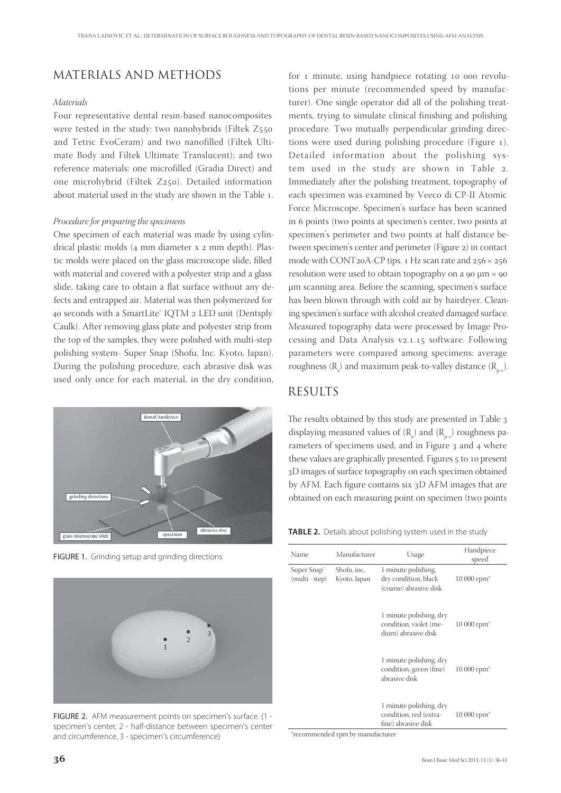## MATERIALS AND METHODS

#### *Materials*

Four representative dental resin-based nanocomposites were tested in the study: two nanohybrids (Filtek Z and Tetric EvoCeram) and two nanofilled (Filtek Ultimate Body and Filtek Ultimate Translucent); and two reference materials: one microfilled (Gradia Direct) and one microhybrid (Filtek Z250). Detailed information about material used in the study are shown in the Table 1.

#### *Procedure for preparing the specimens*

One specimen of each material was made by using cylindrical plastic molds  $(4 \text{ mm diameter x } 2 \text{ mm depth})$ . Plastic molds were placed on the glass microscope slide, filled with material and covered with a polyester strip and a glass slide, taking care to obtain a flat surface without any defects and entrapped air. Material was then polymerized for 40 seconds with a SmartLite® IQTM 2 LED unit (Dentsply Caulk). After removing glass plate and polyester strip from the top of the samples, they were polished with multi-step polishing system- Super Snap (Shofu, Inc. Kyoto, Japan). During the polishing procedure, each abrasive disk was used only once for each material, in the dry condition,



FIGURE 1. Grinding setup and grinding directions



FIGURE 2. AFM measurement points on specimen's surface. (1 specimen's center, 2 - half-distance between specimen's center and circumference, 3 - specimen's circumference)

for  $\bf{1}$  minute, using handpiece rotating  $\bf{10}$  000 revolutions per minute (recommended speed by manufacturer). One single operator did all of the polishing treatments, trying to simulate clinical finishing and polishing procedure. Two mutually perpendicular grinding directions were used during polishing procedure (Figure ). Detailed information about the polishing system used in the study are shown in Table 2. Immediately after the polishing treatment, topography of each specimen was examined by Veeco di CP-II Atomic Force Microscope. Specimen's surface has been scanned in 6 points (two points at specimen's center, two points at specimen's perimeter and two points at half distance between specimen's center and perimeter (Figure 2) in contact mode with CONT<sub>20</sub>A-CP tips. 1 Hz scan rate and  $256 \times 256$ resolution were used to obtain topography on a  $90 \mu m \times 90$ μm scanning area. Before the scanning, specimen's surface has been blown through with cold air by hairdryer. Cleaning specimen's surface with alcohol created damaged surface. Measured topography data were processed by Image Processing and Data Analysis v2.1.15 software. Following parameters were compared among specimens: average roughness ( $R_a$ ) and maximum peak-to-valley distance ( $R_{p-v}$ ).

#### **RESULTS**

The results obtained by this study are presented in Table 3 displaying measured values of  $(R_a)$  and  $(R_{p\nu})$  roughness parameters of specimens used, and in Figure 3 and 4 where these values are graphically presented. Figures 5 to 10 present D images of surface topography on each specimen obtained by AFM. Each figure contains six  $3D$  AFM images that are obtained on each measuring point on specimen (two points

**TABLE 2.** Details about polishing system used in the study

| Name                                      | Manufacturer                | Usage                                                                    | Handpiece<br>speed       |
|-------------------------------------------|-----------------------------|--------------------------------------------------------------------------|--------------------------|
| Super Snap <sup>®</sup><br>(multi - step) | Shofu, inc,<br>Kyoto, Japan | 1 minute polishing,<br>dry condition, black<br>(coarse) abrasive disk    | $10000$ rpm <sup>*</sup> |
|                                           |                             | 1 minute polishing, dry<br>condition, violet (me-<br>dium) abrasive disk | 10 000 rpm <sup>*</sup>  |
|                                           |                             | 1 minute polishing, dry<br>condition, green (fine)<br>abrasive disk      | $10000$ rpm <sup>*</sup> |
|                                           |                             | 1 minute polishing, dry<br>condition, red (extra-<br>fine) abrasive disk | $10000$ rpm <sup>*</sup> |

\*recommended rpm by manufacturer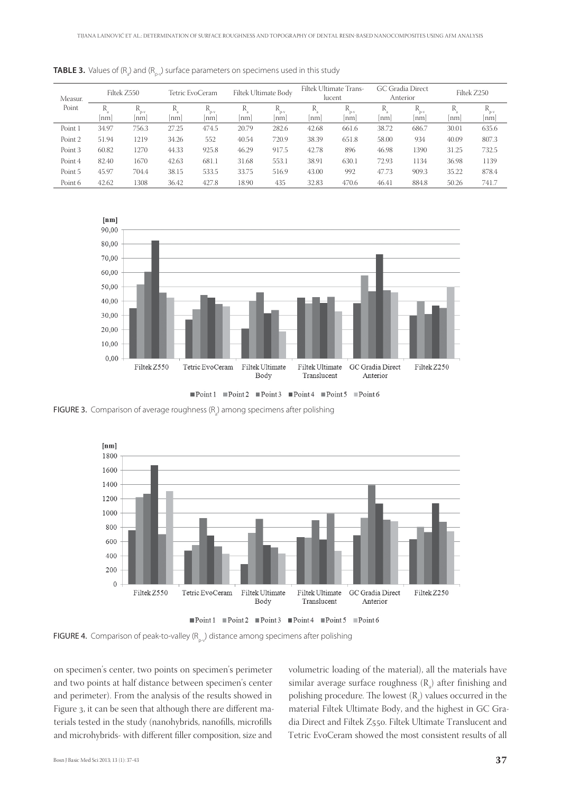| Measur.<br>Point | Filtek Z550 |                   |          | Tetric EvoCeram   |          | Filtek Ultimate Body |         | Filtek Ultimate Trans-<br>lucent |         | GC Gradia Direct<br>Anterior |         | Filtek Z250      |  |
|------------------|-------------|-------------------|----------|-------------------|----------|----------------------|---------|----------------------------------|---------|------------------------------|---------|------------------|--|
|                  | R<br>nm     | IΝ<br>$n-v$<br>nm | K<br> nm | R<br>$D-V$<br> nm | R<br> nm | R<br>$D-V$<br> nm    | R<br>nm | $R_{p.v}$<br> nm                 | R<br>nm | R<br>$D-V$<br>nm             | R<br>nm | $R_{p.v}$<br> nm |  |
| Point 1          | 34.97       | 756.3             | 27.25    | 474.5             | 20.79    | 282.6                | 42.68   | 661.6                            | 38.72   | 686.7                        | 30.01   | 635.6            |  |
| Point 2          | 51.94       | 1219              | 34.26    | 552               | 40.54    | 720.9                | 38.39   | 651.8                            | 58.00   | 934                          | 40.09   | 807.3            |  |
| Point 3          | 60.82       | 1270              | 44.33    | 925.8             | 46.29    | 917.5                | 42.78   | 896                              | 46.98   | 1390                         | 31.25   | 732.5            |  |
| Point 4          | 82.40       | 1670              | 42.63    | 681.1             | 31.68    | 553.1                | 38.91   | 630.1                            | 72.93   | 1134                         | 36.98   | 1139             |  |
| Point 5          | 45.97       | 704.4             | 38.15    | 533.5             | 33.75    | 516.9                | 43.00   | 992                              | 47.73   | 909.3                        | 35.22   | 878.4            |  |
| Point 6          | 42.62       | 1308              | 36.42    | 427.8             | 18.90    | 435                  | 32.83   | 470.6                            | 46.41   | 884.8                        | 50.26   | 741.7            |  |

<code>TABLE 3.</code> Values of (R<sub>a</sub>) and (R<sub>p-v</sub>) surface parameters on specimens used in this study



Point1 Point2 Point3 Point4 Point5 Point6

**FIGURE 3.** Comparison of average roughness ( $R$ <sub>a</sub>) among specimens after polishing



Point1 Point2 Point3 Point4 Point5 Point6

**FIGURE 4.** Comparison of peak-to-valley  $(R_n)$  distance among specimens after polishing

on specimen's center, two points on specimen's perimeter and two points at half distance between specimen's center and perimeter). From the analysis of the results showed in Figure 3, it can be seen that although there are different materials tested in the study (nanohybrids, nanofills, microfills and microhybrids- with different filler composition, size and

volumetric loading of the material), all the materials have similar average surface roughness  $(R_a)$  after finishing and polishing procedure. The lowest  $(R_{a})$  values occurred in the material Filtek Ultimate Body, and the highest in GC Gradia Direct and Filtek Z550. Filtek Ultimate Translucent and Tetric EvoCeram showed the most consistent results of all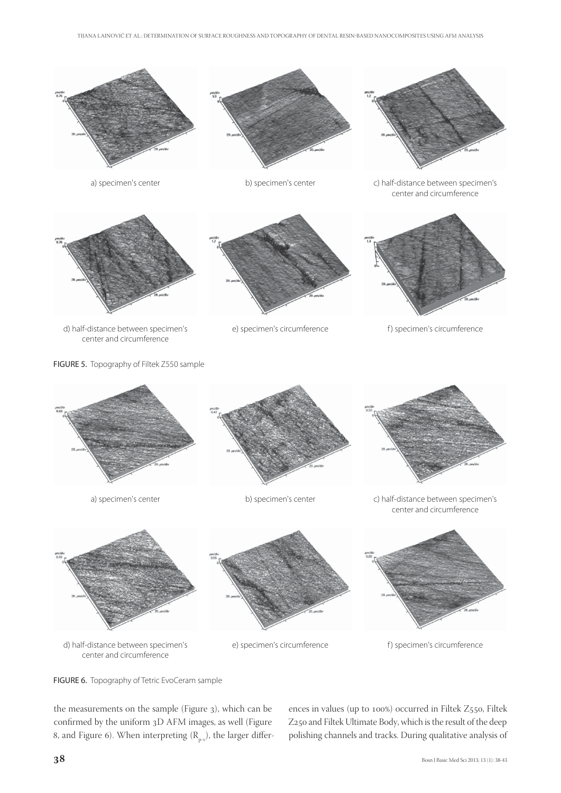



b) specimen's center



a) specimen's center can b) specimen's center c) half-distance between specimen's center and circumference



d) half-distance between specimen's center and circumference







e) specimen's circumference f ) specimen's circumference



e) specimen's circumference f ) specimen's circumference

center and circumference

the measurements on the sample (Figure 3), which can be confirmed by the uniform 3D AFM images, as well (Figure 8, and Figure 6). When interpreting  $(R_{p-v})$ , the larger differences in values (up to  $100\%$ ) occurred in Filtek Z550, Filtek Z250 and Filtek Ultimate Body, which is the result of the deep polishing channels and tracks. During qualitative analysis of

FIGURE 6. Topography of Tetric EvoCeram sample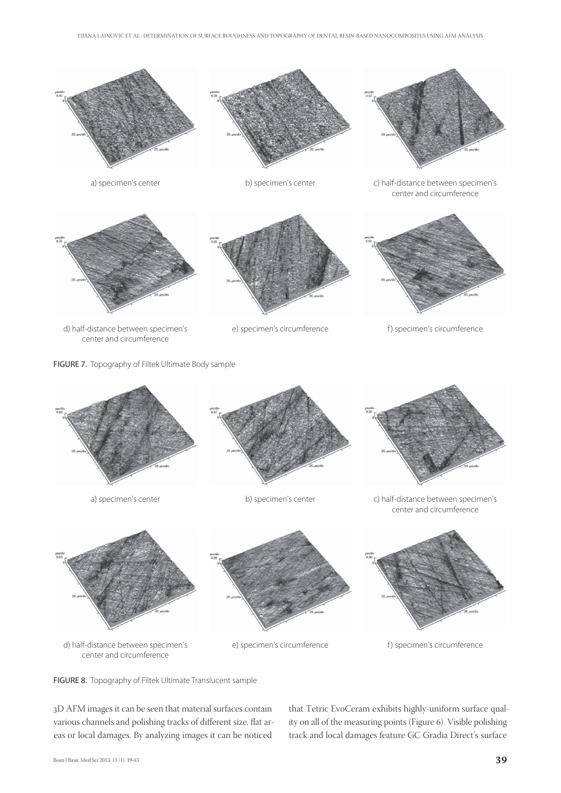

FIGURE 7. Topography of Filtek Ultimate Body sample





e) specimen's circumference f ) specimen's circumference

FIGURE 8. Topography of Filtek Ultimate Translucent sample

D AFM images it can be seen that material surfaces contain various channels and polishing tracks of different size, flat areas or local damages. By analyzing images it can be noticed

that Tetric EvoCeram exhibits highly-uniform surface quality on all of the measuring points (Figure 6). Visible polishing track and local damages feature GC Gradia Direct's surface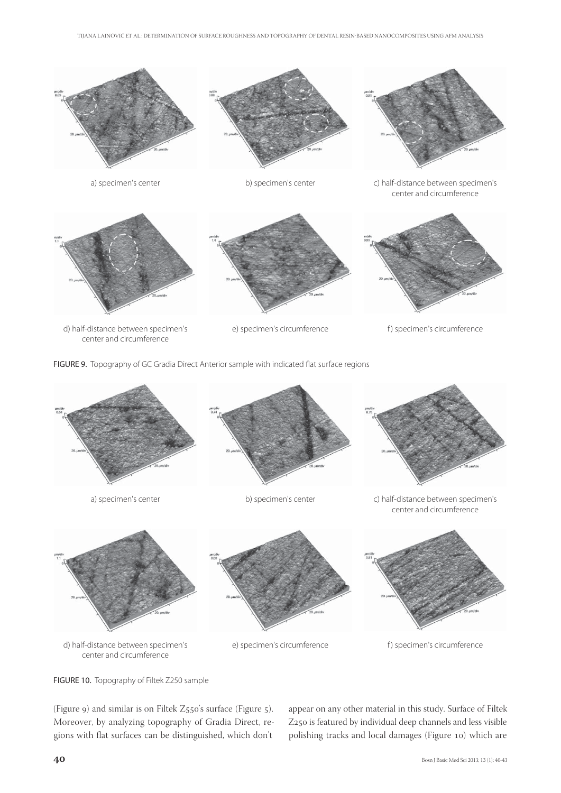

FIGURE 9. Topography of GC Gradia Direct Anterior sample with indicated flat surface regions





d) half-distance between specimen's center and circumference

e) specimen's circumference f ) specimen's circumference



(Figure 9) and similar is on Filtek  $Z_{550}$ 's surface (Figure 5). Moreover, by analyzing topography of Gradia Direct, regions with flat surfaces can be distinguished, which don't

appear on any other material in this study. Surface of Filtek Z250 is featured by individual deep channels and less visible polishing tracks and local damages (Figure 10) which are

FIGURE 10. Topography of Filtek Z250 sample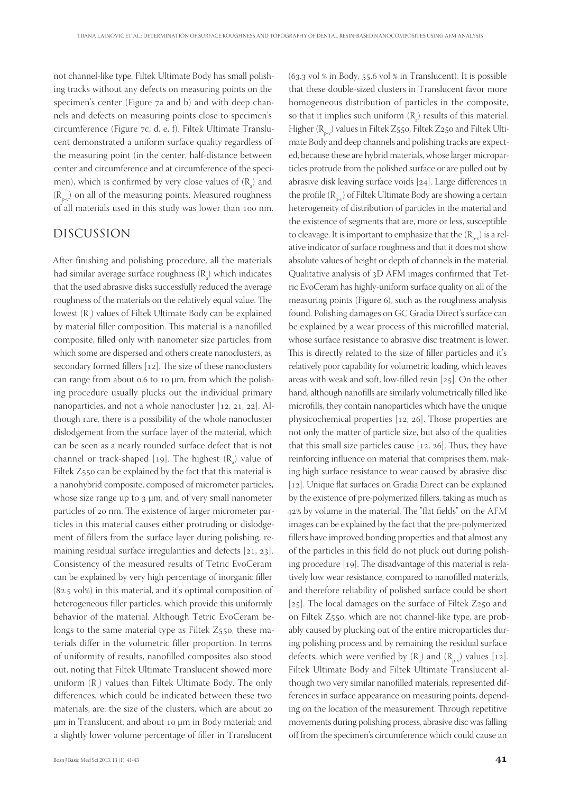not channel-like type. Filtek Ultimate Body has small polishing tracks without any defects on measuring points on the specimen's center (Figure  $7a$  and b) and with deep channels and defects on measuring points close to specimen's circumference (Figure 7c, d, e, f). Filtek Ultimate Translucent demonstrated a uniform surface quality regardless of the measuring point (in the center, half-distance between center and circumference and at circumference of the specimen), which is confirmed by very close values of  $(R_{a})$  and  $(R_{p.v})$  on all of the measuring points. Measured roughness of all materials used in this study was lower than 100 nm.

### DISCUSSION

After finishing and polishing procedure, all the materials had similar average surface roughness  $(\mathrm{R}_{\tiny a})$  which indicates that the used abrasive disks successfully reduced the average roughness of the materials on the relatively equal value. The lowest  $(R_a)$  values of Filtek Ultimate Body can be explained by material filler composition. This material is a nanofilled composite, filled only with nanometer size particles, from which some are dispersed and others create nanoclusters, as secondary formed fillers  $[12]$ . The size of these nanoclusters can range from about  $0.6$  to  $10 \mu m$ , from which the polishing procedure usually plucks out the individual primary nanoparticles, and not a whole nanocluster  $[12, 21, 22]$ . Although rare, there is a possibility of the whole nanocluster dislodgement from the surface layer of the material, which can be seen as a nearly rounded surface defect that is not channel or track-shaped [19]. The highest  $(R_{a}^{\circ})$  value of Filtek Z550 can be explained by the fact that this material is a nanohybrid composite, composed of micrometer particles, whose size range up to  $3 \mu m$ , and of very small nanometer particles of 20 nm. The existence of larger micrometer particles in this material causes either protruding or dislodgement of fillers from the surface layer during polishing, remaining residual surface irregularities and defects  $[21, 23]$ . Consistency of the measured results of Tetric EvoCeram can be explained by very high percentage of inorganic filler  $(82.5 \text{ vol})$  in this material, and it's optimal composition of heterogeneous filler particles, which provide this uniformly behavior of the material. Although Tetric EvoCeram belongs to the same material type as Filtek  $Z_{550}$ , these materials differ in the volumetric filler proportion. In terms of uniformity of results, nanofilled composites also stood out, noting that Filtek Ultimate Translucent showed more uniform  $(R_a)$  values than Filtek Ultimate Body. The only differences, which could be indicated between these two materials, are: the size of the clusters, which are about μm in Translucent, and about 10 μm in Body material; and a slightly lower volume percentage of filler in Translucent

 $(63.3 \text{ vol } \% \text{ in Body}, 55.6 \text{ vol } \% \text{ in Translate}$ . It is possible that these double-sized clusters in Translucent favor more homogeneous distribution of particles in the composite, so that it implies such uniform  $(R_a)$  results of this material. Higher  $(R_{p-v})$  values in Filtek Z550, Filtek Z250 and Filtek Ultimate Body and deep channels and polishing tracks are expected, because these are hybrid materials, whose larger microparticles protrude from the polished surface or are pulled out by abrasive disk leaving surface voids  $[24]$ . Large differences in the profile  $(R_{p-v})$  of Filtek Ultimate Body are showing a certain heterogeneity of distribution of particles in the material and the existence of segments that are, more or less, susceptible to cleavage. It is important to emphasize that the  $(R_{p,v})$  is a relative indicator of surface roughness and that it does not show absolute values of height or depth of channels in the material. Qualitative analysis of 3D AFM images confirmed that Tetric EvoCeram has highly-uniform surface quality on all of the measuring points (Figure 6), such as the roughness analysis found. Polishing damages on GC Gradia Direct's surface can be explained by a wear process of this microfilled material, whose surface resistance to abrasive disc treatment is lower. This is directly related to the size of filler particles and it's relatively poor capability for volumetric loading, which leaves areas with weak and soft, low-filled resin  $[25]$ . On the other hand, although nanofills are similarly volumetrically filled like microfills, they contain nanoparticles which have the unique physicochemical properties  $[12, 26]$ . Those properties are not only the matter of particle size, but also of the qualities that this small size particles cause  $[12, 26]$ . Thus, they have reinforcing influence on material that comprises them, making high surface resistance to wear caused by abrasive disc  $[12]$ . Unique flat surfaces on Gradia Direct can be explained by the existence of pre-polymerized fillers, taking as much as 42% by volume in the material. The "flat fields" on the AFM images can be explained by the fact that the pre-polymerized fillers have improved bonding properties and that almost any of the particles in this field do not pluck out during polishing procedure  $[19]$ . The disadvantage of this material is relatively low wear resistance, compared to nanofilled materials, and therefore reliability of polished surface could be short [ $25$ ]. The local damages on the surface of Filtek Z $250$  and on Filtek Z550, which are not channel-like type, are probably caused by plucking out of the entire microparticles during polishing process and by remaining the residual surface defects, which were verified by  $(R_{a}^{\dagger})$  and  $(R_{p\nu})$  values [12]. Filtek Ultimate Body and Filtek Ultimate Translucent although two very similar nanofilled materials, represented differences in surface appearance on measuring points, depending on the location of the measurement. Through repetitive movements during polishing process, abrasive disc was falling off from the specimen's circumference which could cause an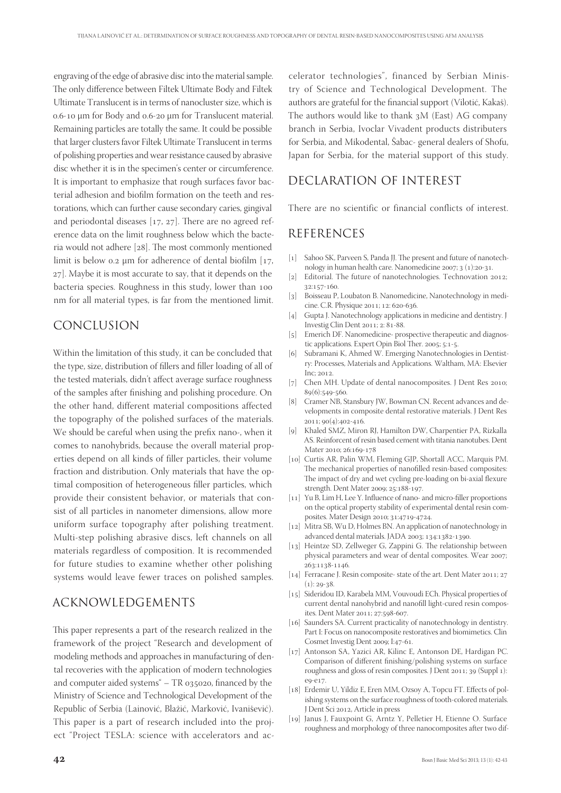engraving of the edge of abrasive disc into the material sample. The only difference between Filtek Ultimate Body and Filtek Ultimate Translucent is in terms of nanocluster size, which is o.6-10 μm for Body and 0.6-20 μm for Translucent material. Remaining particles are totally the same. It could be possible that larger clusters favor Filtek Ultimate Translucent in terms of polishing properties and wear resistance caused by abrasive disc whether it is in the specimen's center or circumference. It is important to emphasize that rough surfaces favor bacterial adhesion and biofilm formation on the teeth and restorations, which can further cause secondary caries, gingival and periodontal diseases  $[17, 27]$ . There are no agreed reference data on the limit roughness below which the bacteria would not adhere  $[28]$ . The most commonly mentioned limit is below 0.2  $\mu$ m for adherence of dental biofilm [17, 27]. Maybe it is most accurate to say, that it depends on the bacteria species. Roughness in this study, lower than nm for all material types, is far from the mentioned limit.

## CONCLUSION

Within the limitation of this study, it can be concluded that the type, size, distribution of fillers and filler loading of all of the tested materials, didn't affect average surface roughness of the samples after finishing and polishing procedure. On the other hand, different material compositions affected the topography of the polished surfaces of the materials. We should be careful when using the prefix nano-, when it comes to nanohybrids, because the overall material properties depend on all kinds of filler particles, their volume fraction and distribution. Only materials that have the optimal composition of heterogeneous filler particles, which provide their consistent behavior, or materials that consist of all particles in nanometer dimensions, allow more uniform surface topography after polishing treatment. Multi-step polishing abrasive discs, left channels on all materials regardless of composition. It is recommended for future studies to examine whether other polishing systems would leave fewer traces on polished samples.

### ACKNOWLEDGEMENTS

This paper represents a part of the research realized in the framework of the project "Research and development of modeling methods and approaches in manufacturing of dental recoveries with the application of modern technologies and computer aided systems"  $-$  TR 035020, financed by the Ministry of Science and Technological Development of the Republic of Serbia (Lainović, Blažić, Marković, Ivanišević). This paper is a part of research included into the project "Project TESLA: science with accelerators and ac-

celerator technologies", financed by Serbian Ministry of Science and Technological Development. The authors are grateful for the financial support (Vilotić, Kakaš). The authors would like to thank  $3M$  (East) AG company branch in Serbia, Ivoclar Vivadent products distributers for Serbia, and Mikodental, Šabac- general dealers of Shofu, Japan for Serbia, for the material support of this study.

## DECLARATION OF INTEREST

There are no scientific or financial conflicts of interest.

#### REFERENCES

- [1] Sahoo SK, Parveen S, Panda JJ. The present and future of nanotechnology in human health care. Nanomedicine  $2007; 3(1):20-31$ .
- [2] Editorial. The future of nanotechnologies. Technovation 2012; 32:157-160.
- [3] Boisseau P, Loubaton B. Nanomedicine, Nanotechnology in medicine. C.R. Physique 2011; 12: 620-636.
- [4] Gupta J. Nanotechnology applications in medicine and dentistry. J Investig Clin Dent 2011; 2: 81-88.
- [5] Emerich DF. Nanomedicine- prospective therapeutic and diagnostic applications. Expert Opin Biol Ther. 2005;  $5:1-5$ .
- [6] Subramani K, Ahmed W. Emerging Nanotechnologies in Dentistry: Processes, Materials and Applications. Waltham, MA: Elsevier Inc; 2012.
- [7] Chen MH. Update of dental nanocomposites. J Dent Res 2010; 89(6):549-560.
- [8] Cramer NB, Stansbury JW, Bowman CN. Recent advances and developments in composite dental restorative materials. J Dent Res  $2011:90(4):402-416.$
- [9] Khaled SMZ, Miron RJ, Hamilton DW, Charpentier PA, Rizkalla AS. Reinforcent of resin based cement with titania nanotubes. Dent Mater 2010; 26:169-178
- [10] Curtis AR, Palin WM, Fleming GJP, Shortall ACC, Marquis PM. The mechanical properties of nanofilled resin-based composites: The impact of dry and wet cycling pre-loading on bi-axial flexure strength. Dent Mater 2009; 25:188-197.
- $\left[ \text{11}\right] \;$  Yu B, Lim H, Lee Y. Influence of nano- and micro-filler proportions on the optical property stability of experimental dental resin composites. Mater Design 2010; 31:4719-4724.
- [12] Mitra SB, Wu D, Holmes BN. An application of nanotechnology in advanced dental materials. JADA 2003; 134:1382-1390.
- [13] Heintze SD, Zellweger G, Zappini G. The relationship between physical parameters and wear of dental composites. Wear 2007; 263:1138-1146.
- [14] Ferracane J. Resin composite- state of the art. Dent Mater 2011; 27  $(1): 29-38$
- [15] Sideridou ID, Karabela MM, Vouvoudi ECh. Physical properties of current dental nanohybrid and nanofill light-cured resin composites. Dent Mater 2011; 27:598-607.
- [16] Saunders SA. Current practicality of nanotechnology in dentistry. Part I: Focus on nanocomposite restoratives and biomimetics. Clin Cosmet Investig Dent 2009; I:47-61.
- [17] Antonson SA, Yazici AR, Kilinc E, Antonson DE, Hardigan PC. Comparison of different finishing/polishing systems on surface roughness and gloss of resin composites. J Dent  $2011$ ;  $39$  (Suppl 1): eg-e17
- [18] Erdemir U, Yildiz E, Eren MM, Ozsoy A, Topcu FT. Effects of polishing systems on the surface roughness of tooth-colored materials. J Dent Sci 2012, Article in press
- [19] Janus J, Fauxpoint G, Arntz Y, Pelletier H, Etienne O. Surface roughness and morphology of three nanocomposites after two dif-